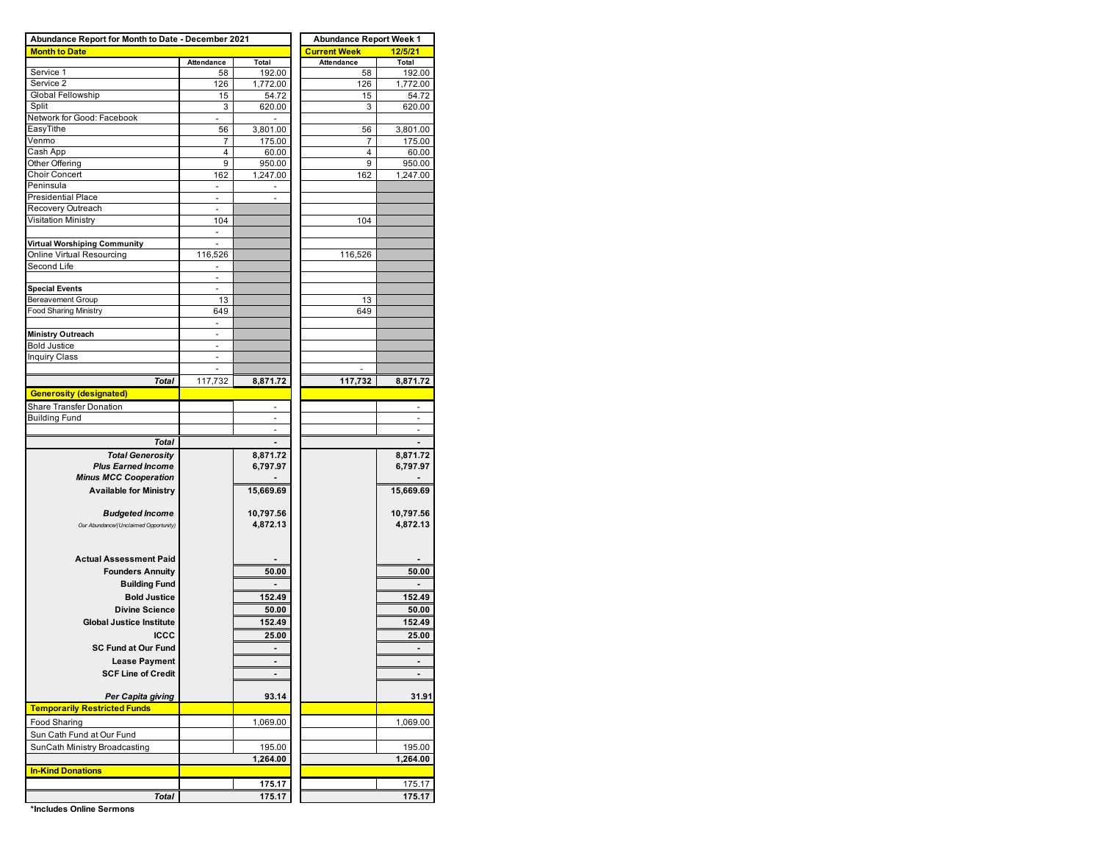| Abundance Report for Month to Date - December 2021 | <b>Abundance Report Week 1</b> |                 |                         |                 |  |  |  |
|----------------------------------------------------|--------------------------------|-----------------|-------------------------|-----------------|--|--|--|
| <b>Month to Date</b>                               |                                |                 | <b>Current Week</b>     | 12/5/21         |  |  |  |
|                                                    | Attendance                     | Total           | Attendance              | Total           |  |  |  |
| Service 1                                          | 58                             | 192.00          | 58                      | 192.00          |  |  |  |
| Service 2                                          | 126                            | 1,772.00        | 126                     | 1,772.00        |  |  |  |
| Global Fellowship                                  | 15                             | 54.72           | 15                      | 54.72           |  |  |  |
| Split                                              | 3                              | 620.00          | 3                       | 620.00          |  |  |  |
| Network for Good: Facebook<br>EasyTithe            | $\sim$                         | $\blacksquare$  |                         |                 |  |  |  |
| Venmo                                              | 56<br>7                        | 3,801.00        | 56<br>7                 | 3,801.00        |  |  |  |
| Cash App                                           | 4                              | 175.00<br>60.00 | $\overline{\mathbf{4}}$ | 175.00<br>60.00 |  |  |  |
| Other Offering                                     | 9                              | 950.00          | 9                       | 950.00          |  |  |  |
| <b>Choir Concert</b>                               | 162                            | 1,247.00        | 162                     | 1,247.00        |  |  |  |
| Peninsula                                          | ä,                             | $\blacksquare$  |                         |                 |  |  |  |
| <b>Presidential Place</b>                          | $\overline{\phantom{a}}$       | ٠               |                         |                 |  |  |  |
| Recovery Outreach                                  |                                |                 |                         |                 |  |  |  |
| Visitation Ministry                                | 104                            |                 | 104                     |                 |  |  |  |
|                                                    | $\sim$                         |                 |                         |                 |  |  |  |
| Virtual Worshiping Community                       | ÷,                             |                 |                         |                 |  |  |  |
| Online Virtual Resourcing                          | 116,526                        |                 | 116,526                 |                 |  |  |  |
| Second Life                                        |                                |                 |                         |                 |  |  |  |
|                                                    | $\overline{\phantom{a}}$       |                 |                         |                 |  |  |  |
| <b>Special Events</b>                              |                                |                 |                         |                 |  |  |  |
| Bereavement Group                                  | 13                             |                 | 13                      |                 |  |  |  |
| Food Sharing Ministry                              | 649                            |                 | 649                     |                 |  |  |  |
|                                                    | $\overline{\phantom{a}}$       |                 |                         |                 |  |  |  |
| <b>Ministry Outreach</b>                           | ä,                             |                 |                         |                 |  |  |  |
| <b>Bold Justice</b>                                | ä,                             |                 |                         |                 |  |  |  |
| <b>Inquiry Class</b>                               | $\overline{\phantom{a}}$       |                 |                         |                 |  |  |  |
|                                                    |                                |                 |                         |                 |  |  |  |
| <b>Total</b>                                       | 117,732                        | 8,871.72        | 117,732                 | 8,871.72        |  |  |  |
| <b>Generosity (designated)</b>                     |                                |                 |                         |                 |  |  |  |
| Share Transfer Donation                            |                                |                 |                         |                 |  |  |  |
| <b>Building Fund</b>                               |                                |                 |                         |                 |  |  |  |
|                                                    |                                | ä,              |                         | ä,              |  |  |  |
| Total                                              |                                |                 |                         |                 |  |  |  |
| <b>Total Generosity</b>                            |                                | 8,871.72        |                         | 8,871.72        |  |  |  |
| <b>Plus Earned Income</b>                          |                                | 6,797.97        |                         | 6,797.97        |  |  |  |
| <b>Minus MCC Cooperation</b>                       |                                |                 |                         |                 |  |  |  |
| <b>Available for Ministry</b>                      |                                | 15,669.69       |                         | 15,669.69       |  |  |  |
|                                                    |                                |                 |                         |                 |  |  |  |
| <b>Budgeted Income</b>                             |                                | 10,797.56       |                         | 10,797.56       |  |  |  |
| Our Abundance/(Unclaimed Opportunity)              |                                | 4,872.13        |                         | 4,872.13        |  |  |  |
|                                                    |                                |                 |                         |                 |  |  |  |
|                                                    |                                |                 |                         |                 |  |  |  |
| <b>Actual Assessment Paid</b>                      |                                |                 |                         |                 |  |  |  |
| <b>Founders Annuity</b>                            |                                | 50.00           |                         | 50.00           |  |  |  |
| <b>Building Fund</b>                               |                                |                 |                         |                 |  |  |  |
| <b>Bold Justice</b>                                |                                | 152.49          |                         | 152.49          |  |  |  |
| <b>Divine Science</b>                              |                                | 50.00           |                         | 50.00           |  |  |  |
| <b>Global Justice Institute</b>                    |                                | 152.49          |                         | 152.49          |  |  |  |
| ICCC                                               |                                | 25.00           |                         | 25.00           |  |  |  |
| <b>SC Fund at Our Fund</b>                         |                                |                 |                         |                 |  |  |  |
| <b>Lease Payment</b>                               |                                |                 |                         |                 |  |  |  |
| <b>SCF Line of Credit</b>                          |                                |                 |                         |                 |  |  |  |
|                                                    |                                |                 |                         |                 |  |  |  |
| Per Capita giving                                  |                                | 93.14           |                         | 31.91           |  |  |  |
| <b>Temporarily Restricted Funds</b>                |                                |                 |                         |                 |  |  |  |
|                                                    |                                |                 |                         |                 |  |  |  |
| Food Sharing                                       |                                | 1,069.00        |                         | 1,069.00        |  |  |  |
| Sun Cath Fund at Our Fund                          |                                |                 |                         |                 |  |  |  |
| SunCath Ministry Broadcasting                      |                                | 195.00          |                         | 195.00          |  |  |  |
|                                                    |                                | 1,264.00        |                         | 1,264.00        |  |  |  |
| <b>In-Kind Donations</b>                           |                                |                 |                         |                 |  |  |  |
|                                                    |                                | 175.17          |                         | 175.17          |  |  |  |
| <b>Total</b>                                       |                                | 175.17          |                         | 175.17          |  |  |  |

**\*Includes Online Sermons**